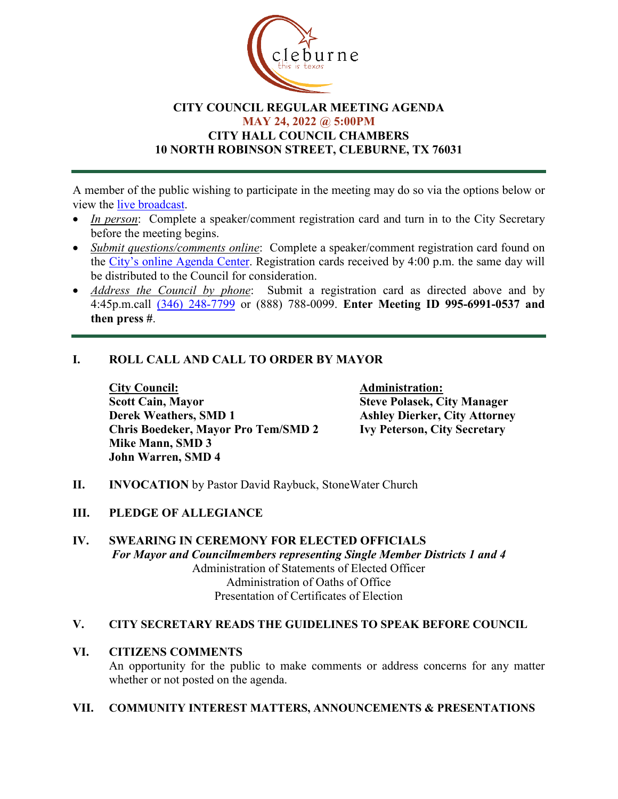

### **CITY COUNCIL REGULAR MEETING AGENDA MAY 24, 2022 @ 5:00PM CITY HALL COUNCIL CHAMBERS 10 NORTH ROBINSON STREET, CLEBURNE, TX 76031**

A member of the public wishing to participate in the meeting may do so via the options below or view the [live broadcast.](http://www.cleburne.net/925/Cleburne-Live)

- *In person*: Complete a speaker/comment registration card and turn in to the City Secretary before the meeting begins.
- *Submit questions/comments online*: Complete a speaker/comment registration card found on the [City's online Agenda Center.](https://www.cleburne.net/agendacenter) Registration cards received by 4:00 p.m. the same day will be distributed to the Council for consideration.
- *Address the Council by phone*: Submit a registration card as directed above and by 4:45p.m.call [\(346\) 248-7799](tel:+13127573117,,477307821) or (888) 788-0099. **Enter Meeting ID 995-6991-0537 and then press #**.

## **I. ROLL CALL AND CALL TO ORDER BY MAYOR**

**City Council: Administration: Scott Cain, Mayor Steve Polasek, City Manager Derek Weathers, SMD 1 Ashley Dierker, City Attorney**<br> **Chris Boedeker, Mayor Pro Tem/SMD 2 Ivy Peterson, City Secretary Chris Boedeker, Mayor Pro Tem/SMD 2 Mike Mann, SMD 3 John Warren, SMD 4**

**II. INVOCATION** by Pastor David Raybuck, StoneWater Church

#### **III. PLEDGE OF ALLEGIANCE**

**IV. SWEARING IN CEREMONY FOR ELECTED OFFICIALS** *For Mayor and Councilmembers representing Single Member Districts 1 and 4* Administration of Statements of Elected Officer Administration of Oaths of Office Presentation of Certificates of Election

#### **V. CITY SECRETARY READS THE GUIDELINES TO SPEAK BEFORE COUNCIL**

#### **VI. CITIZENS COMMENTS**

An opportunity for the public to make comments or address concerns for any matter whether or not posted on the agenda.

#### **VII. COMMUNITY INTEREST MATTERS, ANNOUNCEMENTS & PRESENTATIONS**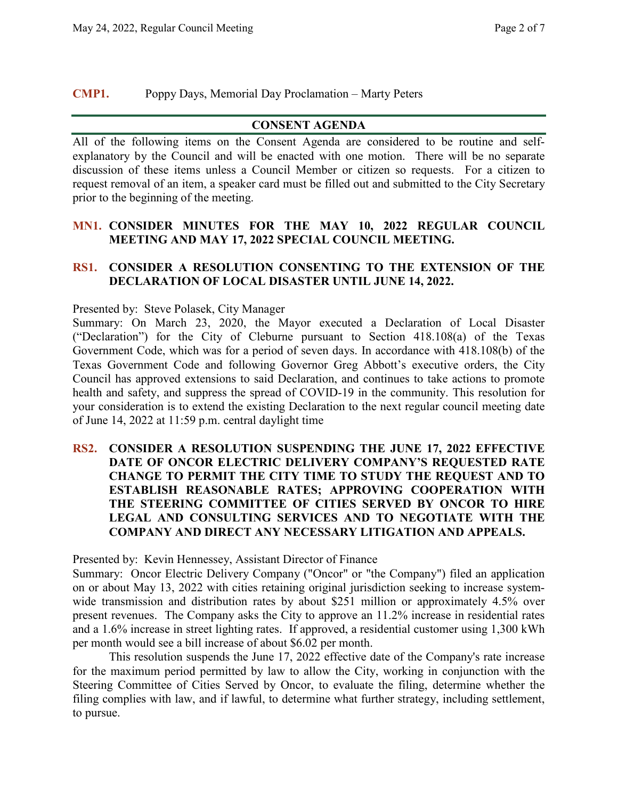## **CMP1.** Poppy Days, Memorial Day Proclamation – Marty Peters

#### **CONSENT AGENDA**

All of the following items on the Consent Agenda are considered to be routine and selfexplanatory by the Council and will be enacted with one motion. There will be no separate discussion of these items unless a Council Member or citizen so requests. For a citizen to request removal of an item, a speaker card must be filled out and submitted to the City Secretary prior to the beginning of the meeting.

## **MN1. CONSIDER MINUTES FOR THE MAY 10, 2022 REGULAR COUNCIL MEETING AND MAY 17, 2022 SPECIAL COUNCIL MEETING.**

#### **RS1. CONSIDER A RESOLUTION CONSENTING TO THE EXTENSION OF THE DECLARATION OF LOCAL DISASTER UNTIL JUNE 14, 2022.**

Presented by: Steve Polasek, City Manager

Summary: On March 23, 2020, the Mayor executed a Declaration of Local Disaster ("Declaration") for the City of Cleburne pursuant to Section 418.108(a) of the Texas Government Code, which was for a period of seven days. In accordance with 418.108(b) of the Texas Government Code and following Governor Greg Abbott's executive orders, the City Council has approved extensions to said Declaration, and continues to take actions to promote health and safety, and suppress the spread of COVID-19 in the community. This resolution for your consideration is to extend the existing Declaration to the next regular council meeting date of June 14, 2022 at 11:59 p.m. central daylight time

## **RS2. CONSIDER A RESOLUTION SUSPENDING THE JUNE 17, 2022 EFFECTIVE DATE OF ONCOR ELECTRIC DELIVERY COMPANY'S REQUESTED RATE CHANGE TO PERMIT THE CITY TIME TO STUDY THE REQUEST AND TO ESTABLISH REASONABLE RATES; APPROVING COOPERATION WITH THE STEERING COMMITTEE OF CITIES SERVED BY ONCOR TO HIRE LEGAL AND CONSULTING SERVICES AND TO NEGOTIATE WITH THE COMPANY AND DIRECT ANY NECESSARY LITIGATION AND APPEALS.**

Presented by: Kevin Hennessey, Assistant Director of Finance

Summary: Oncor Electric Delivery Company ("Oncor" or "the Company") filed an application on or about May 13, 2022 with cities retaining original jurisdiction seeking to increase systemwide transmission and distribution rates by about \$251 million or approximately 4.5% over present revenues. The Company asks the City to approve an 11.2% increase in residential rates and a 1.6% increase in street lighting rates. If approved, a residential customer using 1,300 kWh per month would see a bill increase of about \$6.02 per month.

This resolution suspends the June 17, 2022 effective date of the Company's rate increase for the maximum period permitted by law to allow the City, working in conjunction with the Steering Committee of Cities Served by Oncor, to evaluate the filing, determine whether the filing complies with law, and if lawful, to determine what further strategy, including settlement, to pursue.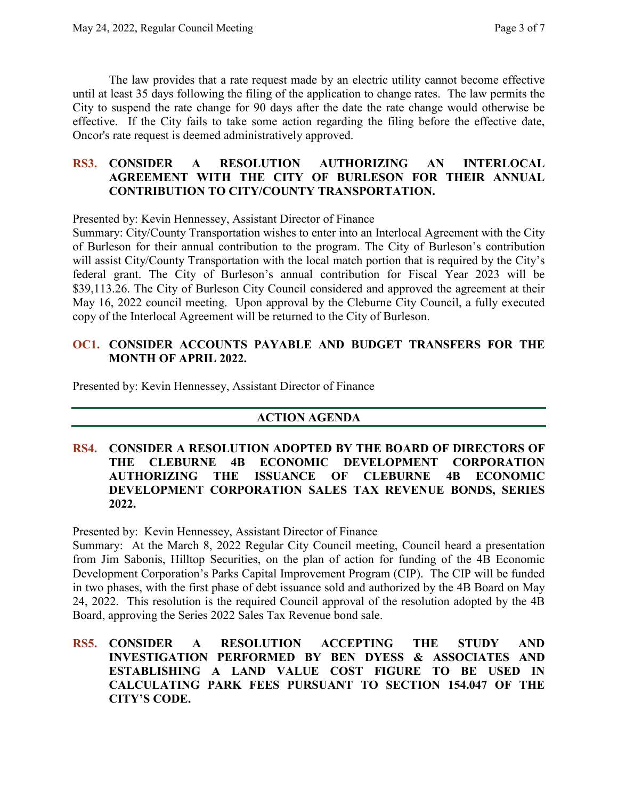The law provides that a rate request made by an electric utility cannot become effective until at least 35 days following the filing of the application to change rates. The law permits the City to suspend the rate change for 90 days after the date the rate change would otherwise be effective. If the City fails to take some action regarding the filing before the effective date, Oncor's rate request is deemed administratively approved.

#### **RS3. CONSIDER A RESOLUTION AUTHORIZING AN INTERLOCAL AGREEMENT WITH THE CITY OF BURLESON FOR THEIR ANNUAL CONTRIBUTION TO CITY/COUNTY TRANSPORTATION.**

Presented by: Kevin Hennessey, Assistant Director of Finance

Summary: City/County Transportation wishes to enter into an Interlocal Agreement with the City of Burleson for their annual contribution to the program. The City of Burleson's contribution will assist City/County Transportation with the local match portion that is required by the City's federal grant. The City of Burleson's annual contribution for Fiscal Year 2023 will be \$39,113.26. The City of Burleson City Council considered and approved the agreement at their May 16, 2022 council meeting. Upon approval by the Cleburne City Council, a fully executed copy of the Interlocal Agreement will be returned to the City of Burleson.

# **OC1. CONSIDER ACCOUNTS PAYABLE AND BUDGET TRANSFERS FOR THE MONTH OF APRIL 2022.**

Presented by: Kevin Hennessey, Assistant Director of Finance

## **ACTION AGENDA**

#### **RS4. CONSIDER A RESOLUTION ADOPTED BY THE BOARD OF DIRECTORS OF THE CLEBURNE 4B ECONOMIC DEVELOPMENT CORPORATION AUTHORIZING THE ISSUANCE OF CLEBURNE 4B ECONOMIC DEVELOPMENT CORPORATION SALES TAX REVENUE BONDS, SERIES 2022.**

Presented by: Kevin Hennessey, Assistant Director of Finance

Summary: At the March 8, 2022 Regular City Council meeting, Council heard a presentation from Jim Sabonis, Hilltop Securities, on the plan of action for funding of the 4B Economic Development Corporation's Parks Capital Improvement Program (CIP). The CIP will be funded in two phases, with the first phase of debt issuance sold and authorized by the 4B Board on May 24, 2022. This resolution is the required Council approval of the resolution adopted by the 4B Board, approving the Series 2022 Sales Tax Revenue bond sale.

**RS5. CONSIDER A RESOLUTION ACCEPTING THE STUDY AND INVESTIGATION PERFORMED BY BEN DYESS & ASSOCIATES AND ESTABLISHING A LAND VALUE COST FIGURE TO BE USED IN CALCULATING PARK FEES PURSUANT TO SECTION 154.047 OF THE CITY'S CODE.**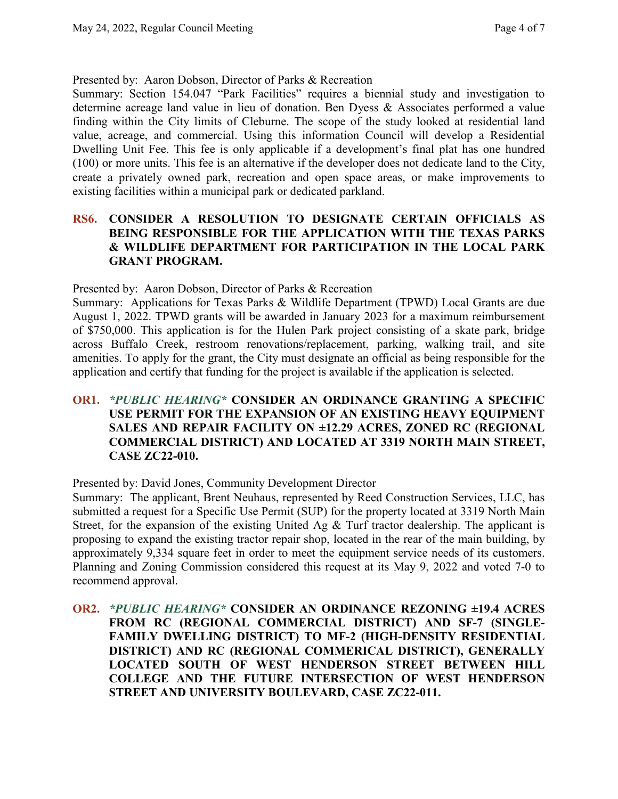Presented by: Aaron Dobson, Director of Parks & Recreation

Summary: Section 154.047 "Park Facilities" requires a biennial study and investigation to determine acreage land value in lieu of donation. Ben Dyess & Associates performed a value finding within the City limits of Cleburne. The scope of the study looked at residential land value, acreage, and commercial. Using this information Council will develop a Residential Dwelling Unit Fee. This fee is only applicable if a development's final plat has one hundred (100) or more units. This fee is an alternative if the developer does not dedicate land to the City, create a privately owned park, recreation and open space areas, or make improvements to existing facilities within a municipal park or dedicated parkland.

## **RS6. CONSIDER A RESOLUTION TO DESIGNATE CERTAIN OFFICIALS AS BEING RESPONSIBLE FOR THE APPLICATION WITH THE TEXAS PARKS & WILDLIFE DEPARTMENT FOR PARTICIPATION IN THE LOCAL PARK GRANT PROGRAM.**

Presented by: Aaron Dobson, Director of Parks & Recreation

Summary: Applications for Texas Parks & Wildlife Department (TPWD) Local Grants are due August 1, 2022. TPWD grants will be awarded in January 2023 for a maximum reimbursement of \$750,000. This application is for the Hulen Park project consisting of a skate park, bridge across Buffalo Creek, restroom renovations/replacement, parking, walking trail, and site amenities. To apply for the grant, the City must designate an official as being responsible for the application and certify that funding for the project is available if the application is selected.

## **OR1.** *\*PUBLIC HEARING\** **CONSIDER AN ORDINANCE GRANTING A SPECIFIC USE PERMIT FOR THE EXPANSION OF AN EXISTING HEAVY EQUIPMENT SALES AND REPAIR FACILITY ON ±12.29 ACRES, ZONED RC (REGIONAL COMMERCIAL DISTRICT) AND LOCATED AT 3319 NORTH MAIN STREET, CASE ZC22-010.**

Presented by: David Jones, Community Development Director

Summary: The applicant, Brent Neuhaus, represented by Reed Construction Services, LLC, has submitted a request for a Specific Use Permit (SUP) for the property located at 3319 North Main Street, for the expansion of the existing United Ag & Turf tractor dealership. The applicant is proposing to expand the existing tractor repair shop, located in the rear of the main building, by approximately 9,334 square feet in order to meet the equipment service needs of its customers. Planning and Zoning Commission considered this request at its May 9, 2022 and voted 7-0 to recommend approval.

**OR2.** *\*PUBLIC HEARING\** **CONSIDER AN ORDINANCE REZONING ±19.4 ACRES FROM RC (REGIONAL COMMERCIAL DISTRICT) AND SF-7 (SINGLE-FAMILY DWELLING DISTRICT) TO MF-2 (HIGH-DENSITY RESIDENTIAL DISTRICT) AND RC (REGIONAL COMMERICAL DISTRICT), GENERALLY LOCATED SOUTH OF WEST HENDERSON STREET BETWEEN HILL COLLEGE AND THE FUTURE INTERSECTION OF WEST HENDERSON STREET AND UNIVERSITY BOULEVARD, CASE ZC22-011.**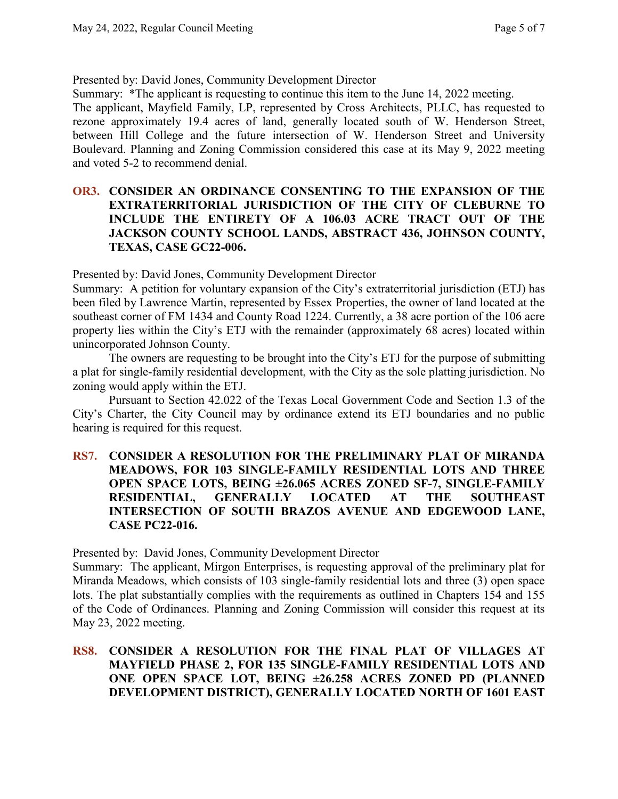Presented by: David Jones, Community Development Director

Summary: \*The applicant is requesting to continue this item to the June 14, 2022 meeting.

The applicant, Mayfield Family, LP, represented by Cross Architects, PLLC, has requested to rezone approximately 19.4 acres of land, generally located south of W. Henderson Street, between Hill College and the future intersection of W. Henderson Street and University Boulevard. Planning and Zoning Commission considered this case at its May 9, 2022 meeting and voted 5-2 to recommend denial.

#### **OR3. CONSIDER AN ORDINANCE CONSENTING TO THE EXPANSION OF THE EXTRATERRITORIAL JURISDICTION OF THE CITY OF CLEBURNE TO INCLUDE THE ENTIRETY OF A 106.03 ACRE TRACT OUT OF THE JACKSON COUNTY SCHOOL LANDS, ABSTRACT 436, JOHNSON COUNTY, TEXAS, CASE GC22-006.**

Presented by: David Jones, Community Development Director

Summary: A petition for voluntary expansion of the City's extraterritorial jurisdiction (ETJ) has been filed by Lawrence Martin, represented by Essex Properties, the owner of land located at the southeast corner of FM 1434 and County Road 1224. Currently, a 38 acre portion of the 106 acre property lies within the City's ETJ with the remainder (approximately 68 acres) located within unincorporated Johnson County.

The owners are requesting to be brought into the City's ETJ for the purpose of submitting a plat for single-family residential development, with the City as the sole platting jurisdiction. No zoning would apply within the ETJ.

Pursuant to Section 42.022 of the Texas Local Government Code and Section 1.3 of the City's Charter, the City Council may by ordinance extend its ETJ boundaries and no public hearing is required for this request.

**RS7. CONSIDER A RESOLUTION FOR THE PRELIMINARY PLAT OF MIRANDA MEADOWS, FOR 103 SINGLE-FAMILY RESIDENTIAL LOTS AND THREE OPEN SPACE LOTS, BEING ±26.065 ACRES ZONED SF-7, SINGLE-FAMILY RESIDENTIAL, GENERALLY LOCATED AT THE SOUTHEAST INTERSECTION OF SOUTH BRAZOS AVENUE AND EDGEWOOD LANE, CASE PC22-016.**

Presented by: David Jones, Community Development Director

Summary: The applicant, Mirgon Enterprises, is requesting approval of the preliminary plat for Miranda Meadows, which consists of 103 single-family residential lots and three (3) open space lots. The plat substantially complies with the requirements as outlined in Chapters 154 and 155 of the Code of Ordinances. Planning and Zoning Commission will consider this request at its May 23, 2022 meeting.

#### **RS8. CONSIDER A RESOLUTION FOR THE FINAL PLAT OF VILLAGES AT MAYFIELD PHASE 2, FOR 135 SINGLE-FAMILY RESIDENTIAL LOTS AND ONE OPEN SPACE LOT, BEING ±26.258 ACRES ZONED PD (PLANNED DEVELOPMENT DISTRICT), GENERALLY LOCATED NORTH OF 1601 EAST**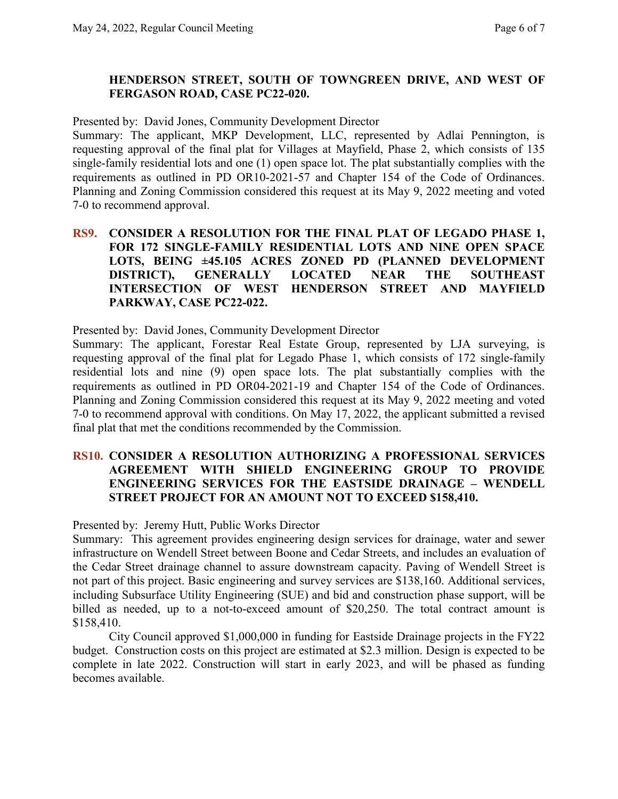## **HENDERSON STREET, SOUTH OF TOWNGREEN DRIVE, AND WEST OF FERGASON ROAD, CASE PC22-020.**

Presented by: David Jones, Community Development Director

Summary: The applicant, MKP Development, LLC, represented by Adlai Pennington, is requesting approval of the final plat for Villages at Mayfield, Phase 2, which consists of 135 single-family residential lots and one (1) open space lot. The plat substantially complies with the requirements as outlined in PD OR10-2021-57 and Chapter 154 of the Code of Ordinances. Planning and Zoning Commission considered this request at its May 9, 2022 meeting and voted 7-0 to recommend approval.

## **RS9. CONSIDER A RESOLUTION FOR THE FINAL PLAT OF LEGADO PHASE 1, FOR 172 SINGLE-FAMILY RESIDENTIAL LOTS AND NINE OPEN SPACE LOTS, BEING ±45.105 ACRES ZONED PD (PLANNED DEVELOPMENT DISTRICT), GENERALLY LOCATED NEAR THE SOUTHEAST INTERSECTION OF WEST HENDERSON STREET AND MAYFIELD PARKWAY, CASE PC22-022.**

Presented by: David Jones, Community Development Director

Summary: The applicant, Forestar Real Estate Group, represented by LJA surveying, is requesting approval of the final plat for Legado Phase 1, which consists of 172 single-family residential lots and nine (9) open space lots. The plat substantially complies with the requirements as outlined in PD OR04-2021-19 and Chapter 154 of the Code of Ordinances. Planning and Zoning Commission considered this request at its May 9, 2022 meeting and voted 7-0 to recommend approval with conditions. On May 17, 2022, the applicant submitted a revised final plat that met the conditions recommended by the Commission.

#### **RS10. CONSIDER A RESOLUTION AUTHORIZING A PROFESSIONAL SERVICES AGREEMENT WITH SHIELD ENGINEERING GROUP TO PROVIDE ENGINEERING SERVICES FOR THE EASTSIDE DRAINAGE – WENDELL STREET PROJECT FOR AN AMOUNT NOT TO EXCEED \$158,410.**

#### Presented by: Jeremy Hutt, Public Works Director

Summary: This agreement provides engineering design services for drainage, water and sewer infrastructure on Wendell Street between Boone and Cedar Streets, and includes an evaluation of the Cedar Street drainage channel to assure downstream capacity. Paving of Wendell Street is not part of this project. Basic engineering and survey services are \$138,160. Additional services, including Subsurface Utility Engineering (SUE) and bid and construction phase support, will be billed as needed, up to a not-to-exceed amount of \$20,250. The total contract amount is \$158,410.

City Council approved \$1,000,000 in funding for Eastside Drainage projects in the FY22 budget. Construction costs on this project are estimated at \$2.3 million. Design is expected to be complete in late 2022. Construction will start in early 2023, and will be phased as funding becomes available.